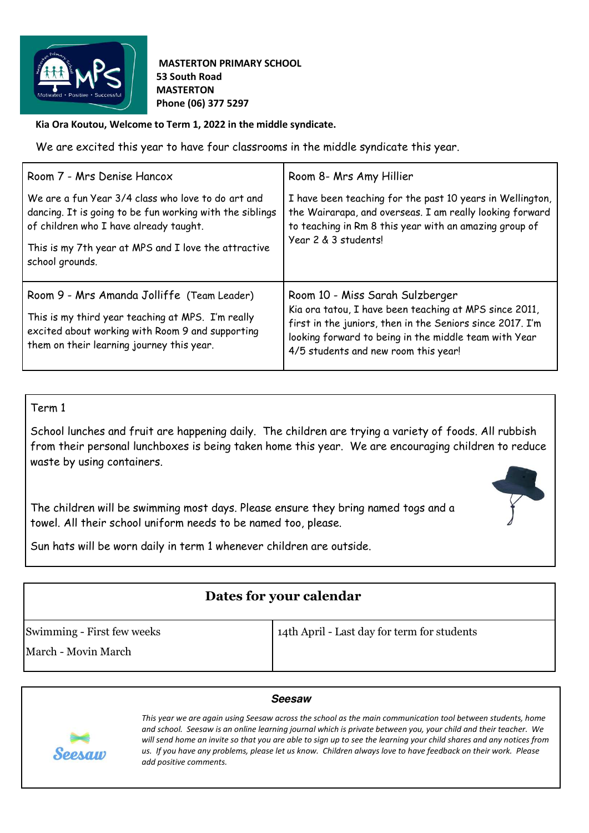

 **MASTERTON PRIMARY SCHOOL 53 South Road MASTERTON Phone (06) 377 5297** 

**Kia Ora Koutou, Welcome to Term 1, 2022 in the middle syndicate.** 

We are excited this year to have four classrooms in the middle syndicate this year.

| Room 7 - Mrs Denise Hancox                                                                                                                                                                                                          | Room 8- Mrs Amy Hillier                                                                                                                                                                                                                                 |
|-------------------------------------------------------------------------------------------------------------------------------------------------------------------------------------------------------------------------------------|---------------------------------------------------------------------------------------------------------------------------------------------------------------------------------------------------------------------------------------------------------|
| We are a fun Year 3/4 class who love to do art and<br>dancing. It is going to be fun working with the siblings<br>of children who I have already taught.<br>This is my 7th year at MPS and I love the attractive<br>school grounds. | I have been teaching for the past 10 years in Wellington,<br>the Wairarapa, and overseas. I am really looking forward<br>to teaching in Rm 8 this year with an amazing group of<br>Year 2 & 3 students!                                                 |
| Room 9 - Mrs Amanda Jolliffe (Team Leader)<br>This is my third year teaching at MPS. I'm really<br>excited about working with Room 9 and supporting<br>them on their learning journey this year.                                    | Room 10 - Miss Sarah Sulzberger<br>Kia ora tatou, I have been teaching at MPS since 2011,<br>first in the juniors, then in the Seniors since 2017. I'm<br>looking forward to being in the middle team with Year<br>4/5 students and new room this year! |

Term 1

School lunches and fruit are happening daily. The children are trying a variety of foods. All rubbish from their personal lunchboxes is being taken home this year. We are encouraging children to reduce waste by using containers.

The children will be swimming most days. Please ensure they bring named togs and a towel. All their school uniform needs to be named too, please.



Sun hats will be worn daily in term 1 whenever children are outside.

| Dates for your calendar    |                                             |
|----------------------------|---------------------------------------------|
| Swimming - First few weeks | 14th April - Last day for term for students |
| March - Movin March        |                                             |

## **Seesaw**



*This year we are again using Seesaw across the school as the main communication tool between students, home and school. Seesaw is an online learning journal which is private between you, your child and their teacher. We will send home an invite so that you are able to sign up to see the learning your child shares and any notices from us. If you have any problems, please let us know. Children always love to have feedback on their work. Please add positive comments.*